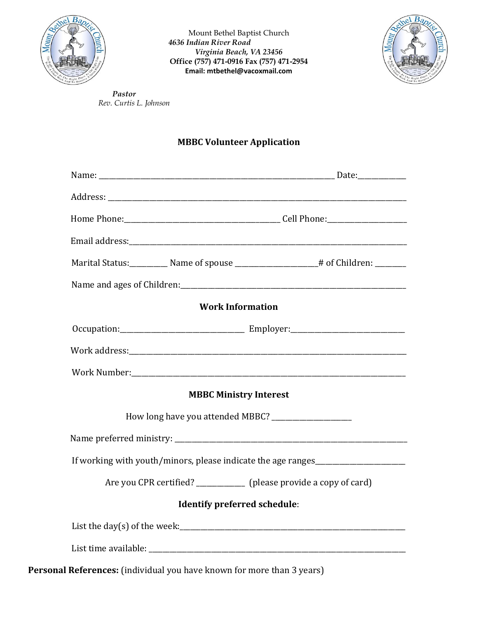

Mount Bethel Baptist Church *4636 Indian River Road Virginia Beach, VA 23456* **Office (757) 471-0916 Fax (757) 471-2954 Email: mtbethel@vacoxmail.com** 



*Pastor Rev. Curtis L. Johnson* 

## **MBBC Volunteer Application**

| <b>Work Information</b>                                            |  |  |  |  |  |
|--------------------------------------------------------------------|--|--|--|--|--|
|                                                                    |  |  |  |  |  |
|                                                                    |  |  |  |  |  |
|                                                                    |  |  |  |  |  |
| <b>MBBC Ministry Interest</b>                                      |  |  |  |  |  |
|                                                                    |  |  |  |  |  |
|                                                                    |  |  |  |  |  |
| If working with youth/minors, please indicate the age ranges       |  |  |  |  |  |
| Are you CPR certified? ___________ (please provide a copy of card) |  |  |  |  |  |
| <b>Identify preferred schedule:</b>                                |  |  |  |  |  |
|                                                                    |  |  |  |  |  |
|                                                                    |  |  |  |  |  |

**Personal References:** (individual you have known for more than 3 years)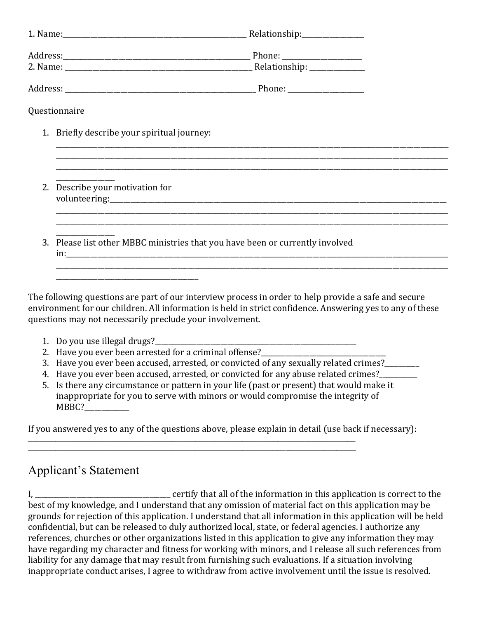| Questionnaire                                                                 |  |  |  |  |  |
|-------------------------------------------------------------------------------|--|--|--|--|--|
| 1. Briefly describe your spiritual journey:                                   |  |  |  |  |  |
|                                                                               |  |  |  |  |  |
| 2. Describe your motivation for                                               |  |  |  |  |  |
| 3. Please list other MBBC ministries that you have been or currently involved |  |  |  |  |  |
|                                                                               |  |  |  |  |  |

The following questions are part of our interview process in order to help provide a safe and secure environment for our children. All information is held in strict confidence. Answering yes to any of these questions may not necessarily preclude your involvement.

- 1. Do you use illegal drugs?
- 2. Have you ever been arrested for a criminal offense?
- 3. Have you ever been accused, arrested, or convicted of any sexually related crimes?
- 4. Have you ever been accused, arrested, or convicted for any abuse related crimes?
- 5. Is there any circumstance or pattern in your life (past or present) that would make it inappropriate for you to serve with minors or would compromise the integrity of MBBC?

If you answered yes to any of the questions above, please explain in detail (use back if necessary):

\_\_\_\_\_\_\_\_\_\_\_\_\_\_\_\_\_\_\_\_\_\_\_\_\_\_\_\_\_\_\_\_\_\_\_\_\_\_\_\_\_\_\_\_\_\_\_\_\_\_\_\_\_\_\_\_\_\_\_\_\_\_\_\_\_\_\_\_\_\_\_\_\_\_\_\_\_\_\_\_\_\_\_\_ \_\_\_\_\_\_\_\_\_\_\_\_\_\_\_\_\_\_\_\_\_\_\_\_\_\_\_\_\_\_\_\_\_\_\_\_\_\_\_\_\_\_\_\_\_\_\_\_\_\_\_\_\_\_\_\_\_\_\_\_\_\_\_\_\_\_\_\_\_\_\_\_\_\_\_\_\_\_\_\_\_\_\_\_

## Applicant's Statement

I, \_\_\_\_\_\_\_\_\_\_\_\_\_\_\_\_\_\_\_\_\_\_\_\_\_\_\_\_\_\_\_\_\_\_\_\_\_\_\_ certify that all of the information in this application is correct to the best of my knowledge, and I understand that any omission of material fact on this application may be grounds for rejection of this application. I understand that all information in this application will be held confidential, but can be released to duly authorized local, state, or federal agencies. I authorize any references, churches or other organizations listed in this application to give any information they may have regarding my character and fitness for working with minors, and I release all such references from liability for any damage that may result from furnishing such evaluations. If a situation involving inappropriate conduct arises, I agree to withdraw from active involvement until the issue is resolved.